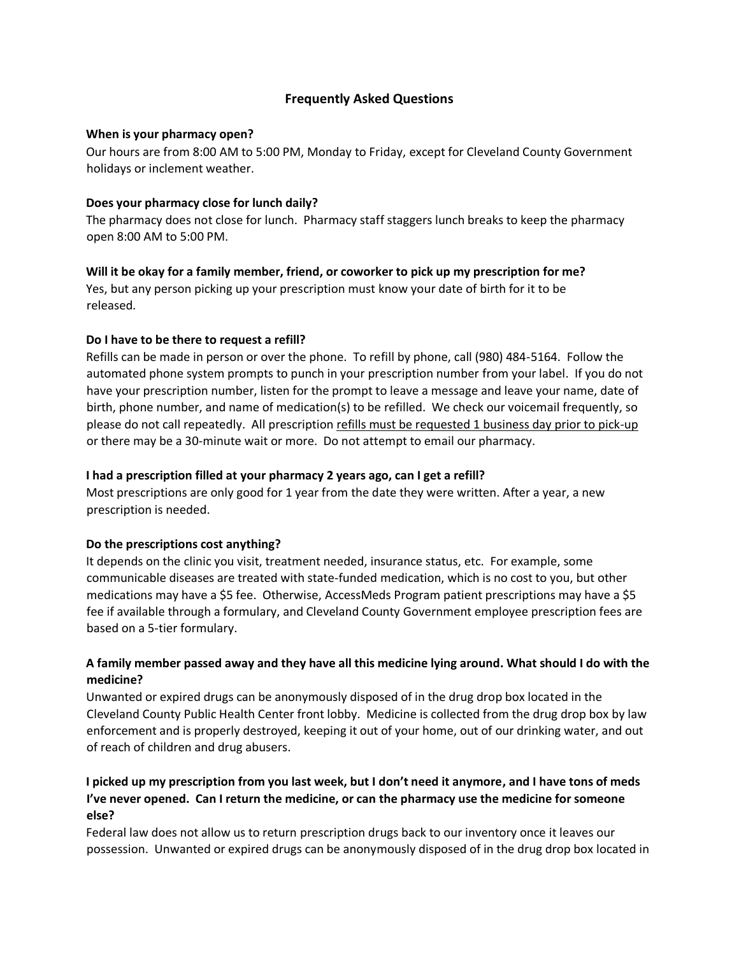# **Frequently Asked Questions**

### **When is your pharmacy open?**

Our hours are from 8:00 AM to 5:00 PM, Monday to Friday, except for Cleveland County Government holidays or inclement weather.

## **Does your pharmacy close for lunch daily?**

The pharmacy does not close for lunch. Pharmacy staff staggers lunch breaks to keep the pharmacy open 8:00 AM to 5:00 PM.

### **Will it be okay for a family member, friend, or coworker to pick up my prescription for me?**

Yes, but any person picking up your prescription must know your date of birth for it to be released.

### **Do I have to be there to request a refill?**

Refills can be made in person or over the phone. To refill by phone, call (980) 484-5164. Follow the automated phone system prompts to punch in your prescription number from your label. If you do not have your prescription number, listen for the prompt to leave a message and leave your name, date of birth, phone number, and name of medication(s) to be refilled. We check our voicemail frequently, so please do not call repeatedly. All prescription refills must be requested 1 business day prior to pick-up or there may be a 30-minute wait or more. Do not attempt to email our pharmacy.

## **I had a prescription filled at your pharmacy 2 years ago, can I get a refill?**

Most prescriptions are only good for 1 year from the date they were written. After a year, a new prescription is needed.

## **Do the prescriptions cost anything?**

It depends on the clinic you visit, treatment needed, insurance status, etc. For example, some communicable diseases are treated with state-funded medication, which is no cost to you, but other medications may have a \$5 fee. Otherwise, AccessMeds Program patient prescriptions may have a \$5 fee if available through a formulary, and Cleveland County Government employee prescription fees are based on a 5-tier formulary.

## **A family member passed away and they have all this medicine lying around. What should I do with the medicine?**

Unwanted or expired drugs can be anonymously disposed of in the drug drop box located in the Cleveland County Public Health Center front lobby. Medicine is collected from the drug drop box by law enforcement and is properly destroyed, keeping it out of your home, out of our drinking water, and out of reach of children and drug abusers.

# **I picked up my prescription from you last week, but I don't need it anymore, and I have tons of meds I've never opened. Can I return the medicine, or can the pharmacy use the medicine for someone else?**

Federal law does not allow us to return prescription drugs back to our inventory once it leaves our possession. Unwanted or expired drugs can be anonymously disposed of in the drug drop box located in